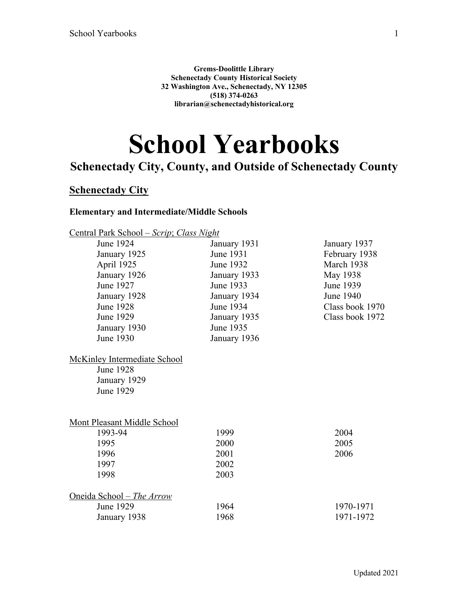**Grems-Doolittle Library Schenectady County Historical Society 32 Washington Ave., Schenectady, NY 12305 (518) 374-0263 librarian@schenectadyhistorical.org**

# **School Yearbooks**

# **Schenectady City, County, and Outside of Schenectady County**

# **Schenectady City**

#### **Elementary and Intermediate/Middle Schools**

| <u>Central Park School – Scrip; Class Night</u> |              |                 |
|-------------------------------------------------|--------------|-----------------|
| June 1924                                       | January 1931 | January 1937    |
| January 1925                                    | June 1931    | February 1938   |
| April 1925                                      | June 1932    | March 1938      |
| January 1926                                    | January 1933 | May 1938        |
| June 1927                                       | June 1933    | June 1939       |
| January 1928                                    | January 1934 | June 1940       |
| <b>June 1928</b>                                | June 1934    | Class book 1970 |
| June 1929                                       | January 1935 | Class book 1972 |
| January 1930                                    | June 1935    |                 |
| June 1930                                       | January 1936 |                 |
| <b>McKinley Intermediate School</b>             |              |                 |
| <b>June 1928</b>                                |              |                 |
| January 1929                                    |              |                 |
| <b>June 1929</b>                                |              |                 |
| Mont Pleasant Middle School                     |              |                 |
| 1993-94                                         | 1999         | 2004            |
| 1995                                            | 2000         | 2005            |
| 1996                                            | 2001         | 2006            |
| 1997                                            | 2002         |                 |
| 1998                                            | 2003         |                 |
| <u> Oneida School – The Arrow</u>               |              |                 |
| June 1929                                       | 1964         | 1970-1971       |
| January 1938                                    | 1968         | 1971-1972       |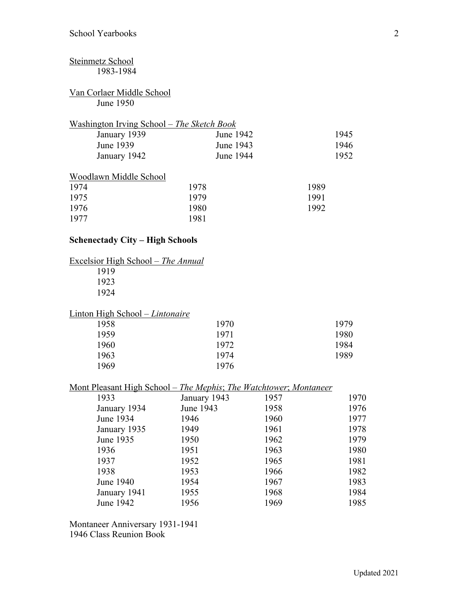#### Steinmetz School 1983-1984 Van Corlaer Middle School June 1950 Washington Irving School – *The Sketch Book* January 1939 June 1939 January 1942 June 1942 June 1943 June 1944 Woodlawn Middle School

| 1975 | 1979 | 1991 |
|------|------|------|
| 1976 | 1980 | 1992 |
| 1977 | 1981 |      |

#### **Schenectady City – High Schools**

| Excelsior High School - The Annual |      |
|------------------------------------|------|
| 1919                               |      |
| 1923                               |      |
| 1924                               |      |
| Linton High School – Lintonaire    |      |
| 1958                               | 1970 |
| 1959                               | 1971 |
| 1960                               | 1972 |
| 1963                               | 1974 |
| 1969                               | 1976 |

#### Mont Pleasant High School – *The Mephis*; *The Watchtower*; *Montaneer*

| 1933         | January 1943 | 1957 | 1970 |
|--------------|--------------|------|------|
| January 1934 | June 1943    | 1958 | 1976 |
| June 1934    | 1946         | 1960 | 1977 |
| January 1935 | 1949         | 1961 | 1978 |
| June 1935    | 1950         | 1962 | 1979 |
| 1936         | 1951         | 1963 | 1980 |
| 1937         | 1952         | 1965 | 1981 |
| 1938         | 1953         | 1966 | 1982 |
| June 1940    | 1954         | 1967 | 1983 |
| January 1941 | 1955         | 1968 | 1984 |
| June 1942    | 1956         | 1969 | 1985 |
|              |              |      |      |

Montaneer Anniversary 1931-1941 1946 Class Reunion Book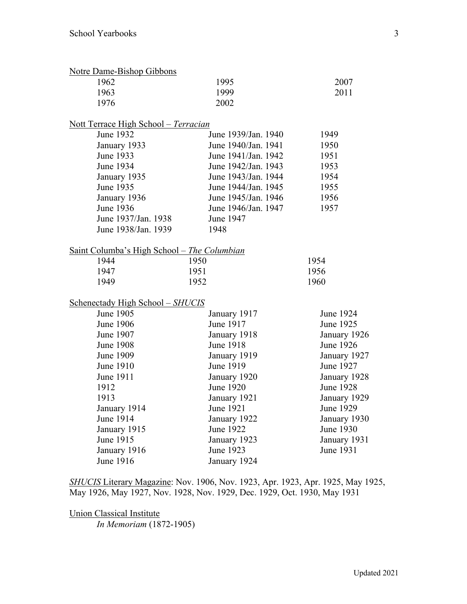| <b>Notre Dame-Bishop Gibbons</b>                    |                     |                  |
|-----------------------------------------------------|---------------------|------------------|
| 1962                                                | 1995                | 2007             |
| 1963                                                | 1999                | 2011             |
| 1976                                                | 2002                |                  |
| <u> Nott Terrace High School – Terracian</u>        |                     |                  |
| June 1932                                           | June 1939/Jan. 1940 | 1949             |
| January 1933                                        | June 1940/Jan. 1941 | 1950             |
| June 1933                                           | June 1941/Jan. 1942 | 1951             |
| June 1934                                           | June 1942/Jan. 1943 | 1953             |
| January 1935                                        | June 1943/Jan. 1944 | 1954             |
| June 1935                                           | June 1944/Jan. 1945 | 1955             |
| January 1936                                        | June 1945/Jan. 1946 | 1956             |
| June 1936                                           | June 1946/Jan. 1947 | 1957             |
| June 1937/Jan. 1938                                 | June 1947           |                  |
| June 1938/Jan. 1939                                 | 1948                |                  |
| <u> Saint Columba's High School – The Columbian</u> |                     |                  |
| 1944                                                | 1950                | 1954             |
| 1947                                                | 1951                | 1956             |
| 1949                                                | 1952                | 1960             |
| <b>Schenectady High School - SHUCIS</b>             |                     |                  |
| June 1905                                           | January 1917        | <b>June 1924</b> |
| <b>June 1906</b>                                    | June 1917           | June 1925        |
| June 1907                                           | January 1918        | January 1926     |
| <b>June 1908</b>                                    | June 1918           | <b>June 1926</b> |
| June 1909                                           | January 1919        | January 1927     |
| June 1910                                           | June 1919           | June 1927        |
| June 1911                                           | January 1920        | January 1928     |
| 1912                                                | June 1920           | <b>June 1928</b> |
| 1913                                                | January 1921        | January 1929     |
| January 1914                                        | June 1921           | June 1929        |
| June 1914                                           | January 1922        | January 1930     |
| January 1915                                        | <b>June 1922</b>    | June 1930        |
| June 1915                                           | January 1923        | January 1931     |
| January 1916                                        | June 1923           | June 1931        |
| June 1916                                           | January 1924        |                  |

*SHUCIS* Literary Magazine: Nov. 1906, Nov. 1923, Apr. 1923, Apr. 1925, May 1925, May 1926, May 1927, Nov. 1928, Nov. 1929, Dec. 1929, Oct. 1930, May 1931

Union Classical Institute

*In Memoriam* (1872-1905)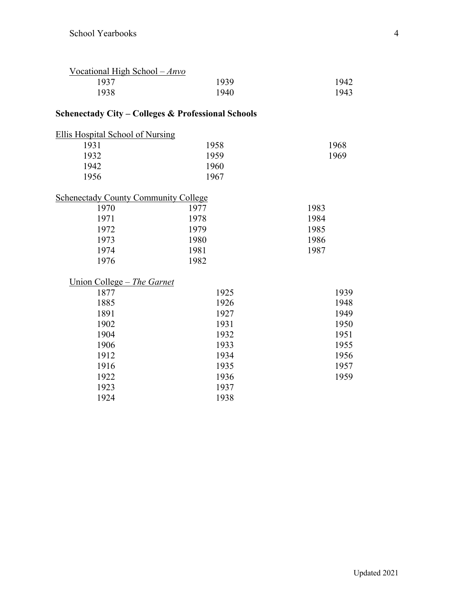| Vocational High School $-Anvo$ |      |      |
|--------------------------------|------|------|
| 1937                           | 1939 | 1942 |
| 1938                           | 1940 | 1943 |

## **Schenectady City – Colleges & Professional Schools**

| 1968 |
|------|
| 1969 |
|      |
|      |
|      |

## Schenectady County Community College

| 1970 | 1977 | 1983 |
|------|------|------|
| 1971 | 1978 | 1984 |
| 1972 | 1979 | 1985 |
| 1973 | 1980 | 1986 |
| 1974 | 1981 | 1987 |
| 1976 | 1982 |      |

#### Union College – *The Garnet*

| 1925 | 1939 |
|------|------|
| 1926 | 1948 |
| 1927 | 1949 |
| 1931 | 1950 |
| 1932 | 1951 |
| 1933 | 1955 |
| 1934 | 1956 |
| 1935 | 1957 |
| 1936 | 1959 |
| 1937 |      |
| 1938 |      |
|      |      |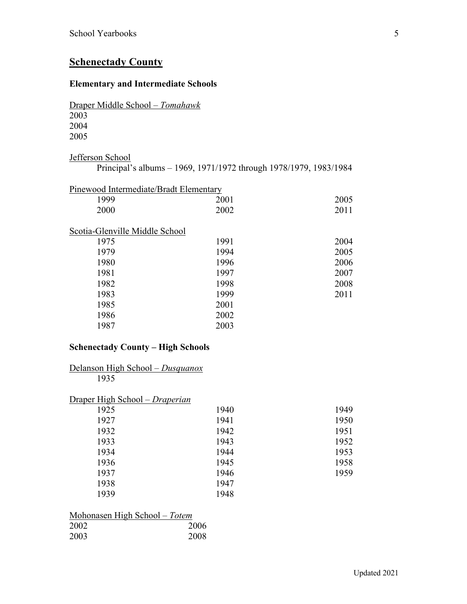## **Schenectady County**

#### **Elementary and Intermediate Schools**

Draper Middle School – *Tomahawk* 

Jefferson School

| Principal's albums - 1969, 1971/1972 through 1978/1979, 1983/1984 |  |  |
|-------------------------------------------------------------------|--|--|
|                                                                   |  |  |

| Pinewood Intermediate/Bradt Elementary |      |      |
|----------------------------------------|------|------|
| 1999                                   | 2001 | 2005 |
| 2000                                   | 2002 | 2011 |
| Scotia-Glenville Middle School         |      |      |
| 1975                                   | 1991 | 2004 |
| 1979                                   | 1994 | 2005 |
| 1980                                   | 1996 | 2006 |
| 1981                                   | 1997 | 2007 |
| 1982                                   | 1998 | 2008 |
| 1983                                   | 1999 | 2011 |
| 1985                                   | 2001 |      |
| 1986                                   | 2002 |      |
| 1987                                   | 2003 |      |
|                                        |      |      |

#### **Schenectady County – High Schools**

Delanson High School – *Dusquanox*

| 1935                           |      |      |
|--------------------------------|------|------|
| Draper High School – Draperian |      |      |
| 1925                           | 1940 | 1949 |
| 1927                           | 1941 | 1950 |
| 1932                           | 1942 | 1951 |
| 1933                           | 1943 | 1952 |
| 1934                           | 1944 | 1953 |
| 1936                           | 1945 | 1958 |
| 1937                           | 1946 | 1959 |
| 1938                           | 1947 |      |
| 1939                           | 1948 |      |
|                                |      |      |

| Mohonasen High School – Totem |      |
|-------------------------------|------|
| 2002                          | 2006 |
| 2003                          | 2008 |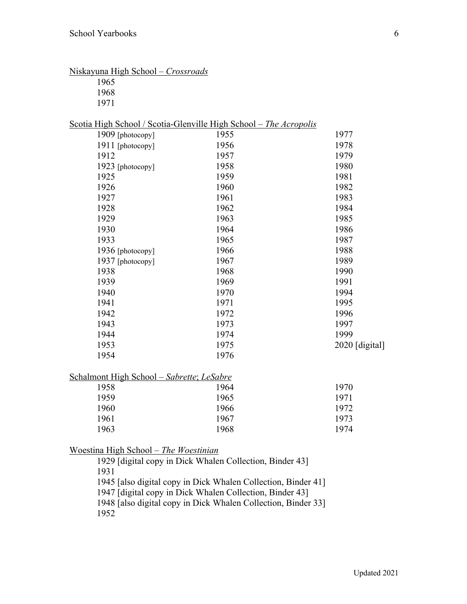| Niskayuna High School – Crossroads<br>1965                        |                                                                                  |                |
|-------------------------------------------------------------------|----------------------------------------------------------------------------------|----------------|
| 1968                                                              |                                                                                  |                |
| 1971                                                              |                                                                                  |                |
|                                                                   |                                                                                  |                |
| Scotia High School / Scotia-Glenville High School - The Acropolis |                                                                                  |                |
| 1909 [photocopy]                                                  | 1955                                                                             | 1977           |
| 1911 [photocopy]                                                  | 1956                                                                             | 1978           |
| 1912                                                              | 1957                                                                             | 1979           |
| 1923 [photocopy]                                                  | 1958                                                                             | 1980           |
| 1925                                                              | 1959                                                                             | 1981           |
| 1926                                                              | 1960                                                                             | 1982           |
| 1927                                                              | 1961                                                                             | 1983           |
| 1928                                                              | 1962                                                                             | 1984           |
| 1929                                                              | 1963                                                                             | 1985           |
| 1930                                                              | 1964                                                                             | 1986           |
| 1933                                                              | 1965                                                                             | 1987           |
| 1936 [photocopy]                                                  | 1966                                                                             | 1988           |
| 1937 [photocopy]                                                  | 1967                                                                             | 1989           |
| 1938                                                              | 1968                                                                             | 1990           |
| 1939                                                              | 1969                                                                             | 1991           |
| 1940                                                              | 1970                                                                             | 1994           |
| 1941                                                              | 1971                                                                             | 1995           |
| 1942                                                              | 1972                                                                             | 1996           |
| 1943                                                              | 1973                                                                             | 1997           |
| 1944                                                              | 1974                                                                             | 1999           |
| 1953                                                              | 1975                                                                             | 2020 [digital] |
| 1954                                                              | 1976                                                                             |                |
|                                                                   |                                                                                  |                |
| Schalmont High School - Sabrette; LeSabre                         |                                                                                  |                |
| 1958                                                              | 1964                                                                             | 1970           |
| 1959                                                              | 1965                                                                             | 1971           |
| 1960                                                              | 1966                                                                             | 1972           |
| 1961                                                              | 1967                                                                             | 1973           |
| 1963                                                              | 1968                                                                             | 1974           |
|                                                                   |                                                                                  |                |
| <u> Woestina High School – The Woestinian</u>                     |                                                                                  |                |
|                                                                   | 1929 [digital copy in Dick Whalen Collection, Binder 43]                         |                |
| 1931                                                              |                                                                                  |                |
|                                                                   | $1045$ Letter $A_1$ , i.e. $A_2$ are in $D_1$ , $A_2$ When $C_2$ , $A_3$ , $A_4$ |                |

1945 [also digital copy in Dick Whalen Collection, Binder 41]

1947 [digital copy in Dick Whalen Collection, Binder 43]

1948 [also digital copy in Dick Whalen Collection, Binder 33]